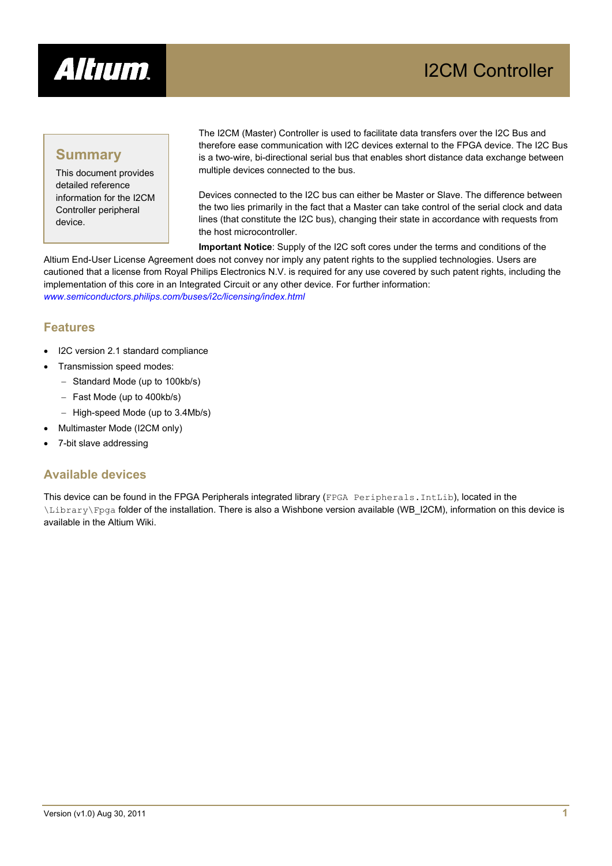

## **Summary**

This document provides detailed reference information for the I2CM Controller peripheral device.

The I2CM (Master) Controller is used to facilitate data transfers over the I2C Bus and therefore ease communication with I2C devices external to the FPGA device. The I2C Bus is a two-wire, bi-directional serial bus that enables short distance data exchange between multiple devices connected to the bus.

Devices connected to the I2C bus can either be Master or Slave. The difference between the two lies primarily in the fact that a Master can take control of the serial clock and data lines (that constitute the I2C bus), changing their state in accordance with requests from the host microcontroller.

**Important Notice**: Supply of the I2C soft cores under the terms and conditions of the Altium End-User License Agreement does not convey nor imply any patent rights to the supplied technologies. Users are cautioned that a license from Royal Philips Electronics N.V. is required for any use covered by such patent rights, including the implementation of this core in an Integrated Circuit or any other device. For further information: *[www.semiconductors.philips.com/buses/i2c/licensing/index.html](http://www.semiconductors.philips.com/buses/i2c/licensing/index.html)*

### **Features**

- I2C version 2.1 standard compliance
- Transmission speed modes:
	- − Standard Mode (up to 100kb/s)
	- − Fast Mode (up to 400kb/s)
	- − High-speed Mode (up to 3.4Mb/s)
- Multimaster Mode (I2CM only)
- 7-bit slave addressing

### **Available devices**

This device can be found in the FPGA Peripherals integrated library (FPGA Peripherals.IntLib), located in the \Library\Fpga folder of the installation. There is also a Wishbone version available (WB\_I2CM), information on this device is available in the Altium Wiki.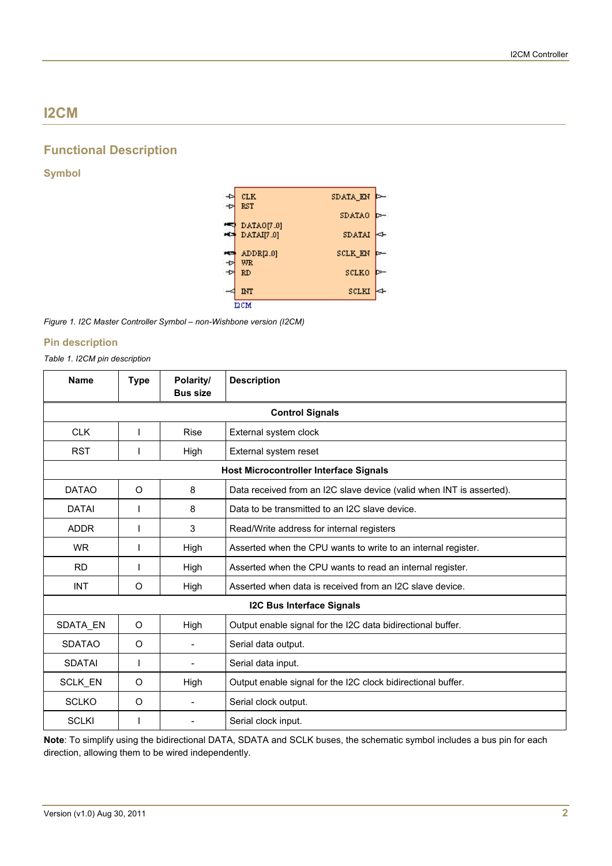# **I2CM**

### **Functional Description**

#### **Symbol**



*Figure 1. I2C Master Controller Symbol – non-Wishbone version (I2CM)* 

#### **Pin description**

#### *Table 1. I2CM pin description*

| <b>Name</b>                                   | <b>Type</b> | Polarity/<br><b>Bus size</b> | <b>Description</b>                                                   |  |  |
|-----------------------------------------------|-------------|------------------------------|----------------------------------------------------------------------|--|--|
| <b>Control Signals</b>                        |             |                              |                                                                      |  |  |
| <b>CLK</b>                                    |             | Rise                         | External system clock                                                |  |  |
| <b>RST</b>                                    |             | High                         | External system reset                                                |  |  |
| <b>Host Microcontroller Interface Signals</b> |             |                              |                                                                      |  |  |
| <b>DATAO</b>                                  | O           | 8                            | Data received from an I2C slave device (valid when INT is asserted). |  |  |
| <b>DATAI</b>                                  |             | 8                            | Data to be transmitted to an I2C slave device.                       |  |  |
| <b>ADDR</b>                                   |             | 3                            | Read/Write address for internal registers                            |  |  |
| WR.                                           |             | High                         | Asserted when the CPU wants to write to an internal register.        |  |  |
| <b>RD</b>                                     |             | High                         | Asserted when the CPU wants to read an internal register.            |  |  |
| <b>INT</b>                                    | O           | High                         | Asserted when data is received from an I2C slave device.             |  |  |
| <b>I2C Bus Interface Signals</b>              |             |                              |                                                                      |  |  |
| SDATA EN                                      | O           | High                         | Output enable signal for the I2C data bidirectional buffer.          |  |  |
| <b>SDATAO</b>                                 | O           |                              | Serial data output.                                                  |  |  |
| <b>SDATAI</b>                                 |             |                              | Serial data input.                                                   |  |  |
| SCLK_EN                                       | O           | High                         | Output enable signal for the I2C clock bidirectional buffer.         |  |  |
| <b>SCLKO</b>                                  | O           |                              | Serial clock output.                                                 |  |  |
| <b>SCLKI</b>                                  |             |                              | Serial clock input.                                                  |  |  |

**Note**: To simplify using the bidirectional DATA, SDATA and SCLK buses, the schematic symbol includes a bus pin for each direction, allowing them to be wired independently.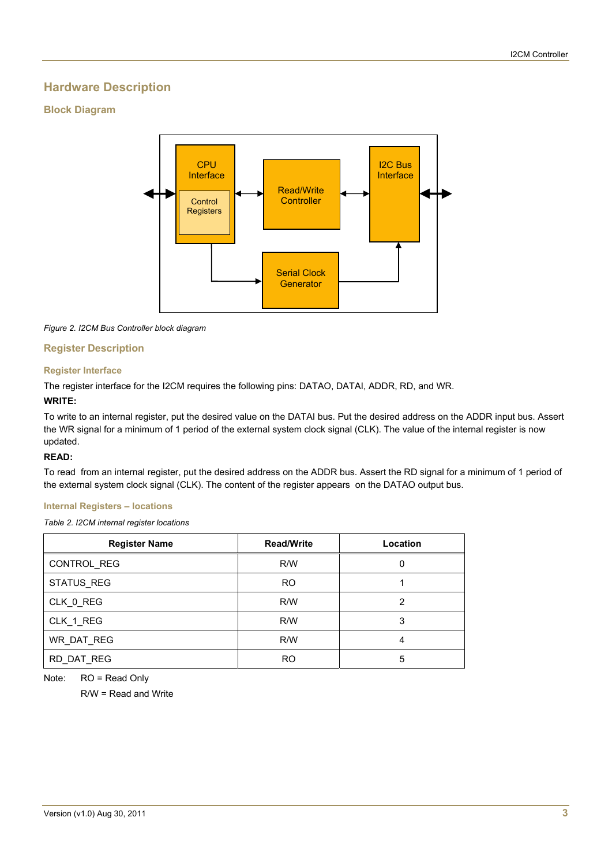### **Hardware Description**

#### **Block Diagram**



*Figure 2. I2CM Bus Controller block diagram* 

#### **Register Description**

#### **Register Interface**

The register interface for the I2CM requires the following pins: DATAO, DATAI, ADDR, RD, and WR.

#### **WRITE:**

To write to an internal register, put the desired value on the DATAI bus. Put the desired address on the ADDR input bus. Assert the WR signal for a minimum of 1 period of the external system clock signal (CLK). The value of the internal register is now updated.

#### **READ:**

To read from an internal register, put the desired address on the ADDR bus. Assert the RD signal for a minimum of 1 period of the external system clock signal (CLK). The content of the register appears on the DATAO output bus.

#### **Internal Registers – locations**

*Table 2. I2CM internal register locations* 

| <b>Register Name</b> | <b>Read/Write</b> | Location |
|----------------------|-------------------|----------|
| CONTROL REG          | R/W               |          |
| STATUS REG           | RO.               |          |
| CLK 0 REG            | R/W               | າ        |
| CLK_1_REG            | R/W               | 3        |
| WR DAT REG           | R/W               | 4        |
| RD DAT REG           | R <sub>O</sub>    | 5        |

Note: RO = Read Only

R/W = Read and Write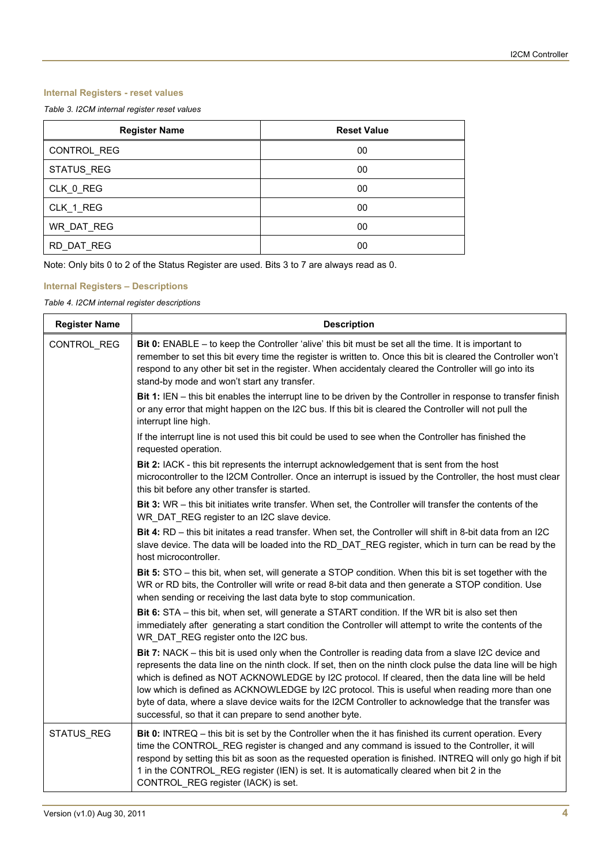#### **Internal Registers - reset values**

*Table 3. I2CM internal register reset values* 

| <b>Register Name</b> | <b>Reset Value</b> |
|----------------------|--------------------|
| CONTROL_REG          | 00                 |
| STATUS_REG           | 00                 |
| CLK 0 REG            | 00                 |
| CLK_1_REG            | 00                 |
| WR_DAT_REG           | 00                 |
| RD DAT REG           | 00                 |

Note: Only bits 0 to 2 of the Status Register are used. Bits 3 to 7 are always read as 0.

#### **Internal Registers – Descriptions**

*Table 4. I2CM internal register descriptions* 

| <b>Register Name</b> | <b>Description</b>                                                                                                                                                                                                                                                                                                                                                                                                                                                                                                                                                                              |  |  |
|----------------------|-------------------------------------------------------------------------------------------------------------------------------------------------------------------------------------------------------------------------------------------------------------------------------------------------------------------------------------------------------------------------------------------------------------------------------------------------------------------------------------------------------------------------------------------------------------------------------------------------|--|--|
| CONTROL_REG          | Bit 0: ENABLE – to keep the Controller 'alive' this bit must be set all the time. It is important to<br>remember to set this bit every time the register is written to. Once this bit is cleared the Controller won't<br>respond to any other bit set in the register. When accidentaly cleared the Controller will go into its<br>stand-by mode and won't start any transfer.                                                                                                                                                                                                                  |  |  |
|                      | Bit 1: IEN - this bit enables the interrupt line to be driven by the Controller in response to transfer finish<br>or any error that might happen on the I2C bus. If this bit is cleared the Controller will not pull the<br>interrupt line high.                                                                                                                                                                                                                                                                                                                                                |  |  |
|                      | If the interrupt line is not used this bit could be used to see when the Controller has finished the<br>requested operation.                                                                                                                                                                                                                                                                                                                                                                                                                                                                    |  |  |
|                      | Bit 2: IACK - this bit represents the interrupt acknowledgement that is sent from the host<br>microcontroller to the I2CM Controller. Once an interrupt is issued by the Controller, the host must clear<br>this bit before any other transfer is started.                                                                                                                                                                                                                                                                                                                                      |  |  |
|                      | Bit 3: WR - this bit initiates write transfer. When set, the Controller will transfer the contents of the<br>WR_DAT_REG register to an I2C slave device.                                                                                                                                                                                                                                                                                                                                                                                                                                        |  |  |
|                      | Bit 4: RD - this bit initates a read transfer. When set, the Controller will shift in 8-bit data from an I2C<br>slave device. The data will be loaded into the RD_DAT_REG register, which in turn can be read by the<br>host microcontroller.                                                                                                                                                                                                                                                                                                                                                   |  |  |
|                      | Bit 5: STO - this bit, when set, will generate a STOP condition. When this bit is set together with the<br>WR or RD bits, the Controller will write or read 8-bit data and then generate a STOP condition. Use<br>when sending or receiving the last data byte to stop communication.                                                                                                                                                                                                                                                                                                           |  |  |
|                      | Bit 6: STA - this bit, when set, will generate a START condition. If the WR bit is also set then<br>immediately after generating a start condition the Controller will attempt to write the contents of the<br>WR_DAT_REG register onto the I2C bus.                                                                                                                                                                                                                                                                                                                                            |  |  |
|                      | Bit 7: NACK - this bit is used only when the Controller is reading data from a slave I2C device and<br>represents the data line on the ninth clock. If set, then on the ninth clock pulse the data line will be high<br>which is defined as NOT ACKNOWLEDGE by I2C protocol. If cleared, then the data line will be held<br>low which is defined as ACKNOWLEDGE by I2C protocol. This is useful when reading more than one<br>byte of data, where a slave device waits for the I2CM Controller to acknowledge that the transfer was<br>successful, so that it can prepare to send another byte. |  |  |
| STATUS_REG           | Bit 0: INTREQ - this bit is set by the Controller when the it has finished its current operation. Every<br>time the CONTROL REG register is changed and any command is issued to the Controller, it will<br>respond by setting this bit as soon as the requested operation is finished. INTREQ will only go high if bit<br>1 in the CONTROL REG register (IEN) is set. It is automatically cleared when bit 2 in the<br>CONTROL REG register (IACK) is set.                                                                                                                                     |  |  |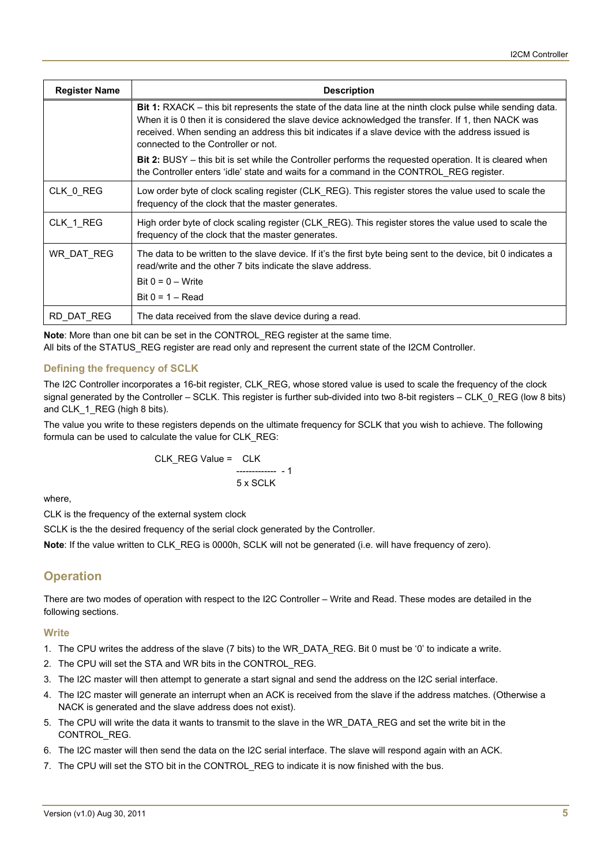| <b>Register Name</b> | <b>Description</b>                                                                                                                                                                                                                                                                                                                                                  |  |  |
|----------------------|---------------------------------------------------------------------------------------------------------------------------------------------------------------------------------------------------------------------------------------------------------------------------------------------------------------------------------------------------------------------|--|--|
|                      | <b>Bit 1:</b> RXACK – this bit represents the state of the data line at the ninth clock pulse while sending data.<br>When it is 0 then it is considered the slave device acknowledged the transfer. If 1, then NACK was<br>received. When sending an address this bit indicates if a slave device with the address issued is<br>connected to the Controller or not. |  |  |
|                      | <b>Bit 2:</b> BUSY – this bit is set while the Controller performs the requested operation. It is cleared when<br>the Controller enters 'idle' state and waits for a command in the CONTROL REG register.                                                                                                                                                           |  |  |
| CLK_0_REG            | Low order byte of clock scaling register (CLK_REG). This register stores the value used to scale the<br>frequency of the clock that the master generates.                                                                                                                                                                                                           |  |  |
| CLK 1 REG            | High order byte of clock scaling register (CLK REG). This register stores the value used to scale the<br>frequency of the clock that the master generates.                                                                                                                                                                                                          |  |  |
| WR DAT REG           | The data to be written to the slave device. If it's the first byte being sent to the device, bit 0 indicates a<br>read/write and the other 7 bits indicate the slave address.<br>Bit $0 = 0 - W$ rite<br>Bit $0 = 1 - Read$                                                                                                                                         |  |  |
| RD DAT REG           | The data received from the slave device during a read.                                                                                                                                                                                                                                                                                                              |  |  |

**Note**: More than one bit can be set in the CONTROL\_REG register at the same time. All bits of the STATUS\_REG register are read only and represent the current state of the I2CM Controller.

#### **Defining the frequency of SCLK**

The I2C Controller incorporates a 16-bit register, CLK\_REG, whose stored value is used to scale the frequency of the clock signal generated by the Controller – SCLK. This register is further sub-divided into two 8-bit registers – CLK\_0\_REG (low 8 bits) and CLK 1 REG (high 8 bits).

The value you write to these registers depends on the ultimate frequency for SCLK that you wish to achieve. The following formula can be used to calculate the value for CLK\_REG:

CLK\_REG Value = CLK ------------- - 1 5 x SCLK

where,

CLK is the frequency of the external system clock

SCLK is the the desired frequency of the serial clock generated by the Controller.

**Note**: If the value written to CLK\_REG is 0000h, SCLK will not be generated (i.e. will have frequency of zero).

### **Operation**

There are two modes of operation with respect to the I2C Controller – Write and Read. These modes are detailed in the following sections.

#### **Write**

- 1. The CPU writes the address of the slave (7 bits) to the WR\_DATA\_REG. Bit 0 must be '0' to indicate a write.
- 2. The CPU will set the STA and WR bits in the CONTROL\_REG.
- 3. The I2C master will then attempt to generate a start signal and send the address on the I2C serial interface.
- 4. The I2C master will generate an interrupt when an ACK is received from the slave if the address matches. (Otherwise a NACK is generated and the slave address does not exist).
- 5. The CPU will write the data it wants to transmit to the slave in the WR\_DATA\_REG and set the write bit in the CONTROL\_REG.
- 6. The I2C master will then send the data on the I2C serial interface. The slave will respond again with an ACK.
- 7. The CPU will set the STO bit in the CONTROL REG to indicate it is now finished with the bus.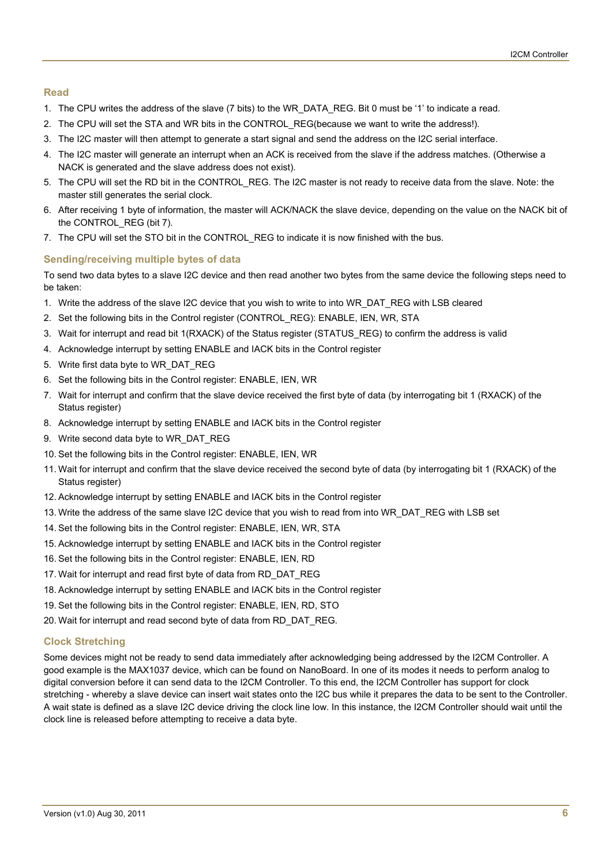#### **Read**

- 1. The CPU writes the address of the slave (7 bits) to the WR\_DATA\_REG. Bit 0 must be '1' to indicate a read.
- 2. The CPU will set the STA and WR bits in the CONTROL\_REG(because we want to write the address!).
- 3. The I2C master will then attempt to generate a start signal and send the address on the I2C serial interface.
- 4. The I2C master will generate an interrupt when an ACK is received from the slave if the address matches. (Otherwise a NACK is generated and the slave address does not exist).
- 5. The CPU will set the RD bit in the CONTROL\_REG. The I2C master is not ready to receive data from the slave. Note: the master still generates the serial clock.
- 6. After receiving 1 byte of information, the master will ACK/NACK the slave device, depending on the value on the NACK bit of the CONTROL\_REG (bit 7).
- 7. The CPU will set the STO bit in the CONTROL REG to indicate it is now finished with the bus.

#### **Sending/receiving multiple bytes of data**

To send two data bytes to a slave I2C device and then read another two bytes from the same device the following steps need to be taken:

- 1. Write the address of the slave I2C device that you wish to write to into WR\_DAT\_REG with LSB cleared
- 2. Set the following bits in the Control register (CONTROL\_REG): ENABLE, IEN, WR, STA
- 3. Wait for interrupt and read bit 1(RXACK) of the Status register (STATUS\_REG) to confirm the address is valid
- 4. Acknowledge interrupt by setting ENABLE and IACK bits in the Control register
- 5. Write first data byte to WR\_DAT\_REG
- 6. Set the following bits in the Control register: ENABLE, IEN, WR
- 7. Wait for interrupt and confirm that the slave device received the first byte of data (by interrogating bit 1 (RXACK) of the Status register)
- 8. Acknowledge interrupt by setting ENABLE and IACK bits in the Control register
- 9. Write second data byte to WR\_DAT\_REG
- 10. Set the following bits in the Control register: ENABLE, IEN, WR
- 11. Wait for interrupt and confirm that the slave device received the second byte of data (by interrogating bit 1 (RXACK) of the Status register)
- 12. Acknowledge interrupt by setting ENABLE and IACK bits in the Control register
- 13. Write the address of the same slave I2C device that you wish to read from into WR\_DAT\_REG with LSB set
- 14. Set the following bits in the Control register: ENABLE, IEN, WR, STA
- 15. Acknowledge interrupt by setting ENABLE and IACK bits in the Control register
- 16. Set the following bits in the Control register: ENABLE, IEN, RD
- 17. Wait for interrupt and read first byte of data from RD\_DAT\_REG
- 18. Acknowledge interrupt by setting ENABLE and IACK bits in the Control register
- 19. Set the following bits in the Control register: ENABLE, IEN, RD, STO
- 20. Wait for interrupt and read second byte of data from RD\_DAT\_REG.

#### **Clock Stretching**

Some devices might not be ready to send data immediately after acknowledging being addressed by the I2CM Controller. A good example is the MAX1037 device, which can be found on NanoBoard. In one of its modes it needs to perform analog to digital conversion before it can send data to the I2CM Controller. To this end, the I2CM Controller has support for clock stretching - whereby a slave device can insert wait states onto the I2C bus while it prepares the data to be sent to the Controller. A wait state is defined as a slave I2C device driving the clock line low. In this instance, the I2CM Controller should wait until the clock line is released before attempting to receive a data byte.